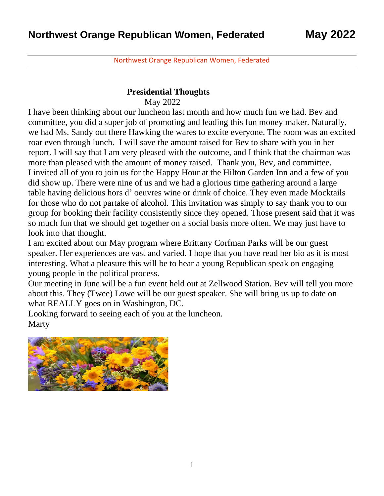Northwest Orange Republican Women, Federated

#### **Presidential Thoughts**

May 2022

I have been thinking about our luncheon last month and how much fun we had. Bev and committee, you did a super job of promoting and leading this fun money maker. Naturally, we had Ms. Sandy out there Hawking the wares to excite everyone. The room was an excited roar even through lunch. I will save the amount raised for Bev to share with you in her report. I will say that I am very pleased with the outcome, and I think that the chairman was more than pleased with the amount of money raised. Thank you, Bev, and committee. I invited all of you to join us for the Happy Hour at the Hilton Garden Inn and a few of you did show up. There were nine of us and we had a glorious time gathering around a large table having delicious hors d' oeuvres wine or drink of choice. They even made Mocktails for those who do not partake of alcohol. This invitation was simply to say thank you to our group for booking their facility consistently since they opened. Those present said that it was so much fun that we should get together on a social basis more often. We may just have to look into that thought.

I am excited about our May program where Brittany Corfman Parks will be our guest speaker. Her experiences are vast and varied. I hope that you have read her bio as it is most interesting. What a pleasure this will be to hear a young Republican speak on engaging young people in the political process.

Our meeting in June will be a fun event held out at Zellwood Station. Bev will tell you more about this. They (Twee) Lowe will be our guest speaker. She will bring us up to date on what REALLY goes on in Washington, DC.

Looking forward to seeing each of you at the luncheon. **Marty** 

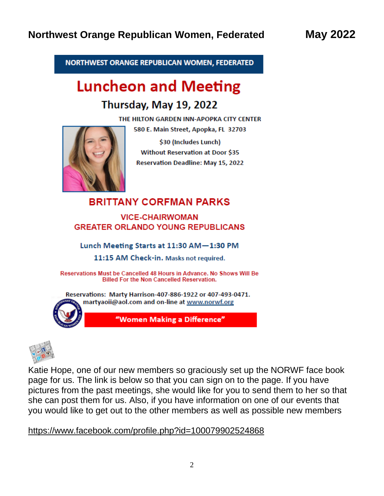NORTHWEST ORANGE REPUBLICAN WOMEN, FEDERATED

# **Luncheon and Meeting**

# Thursday, May 19, 2022

THE HILTON GARDEN INN-APOPKA CITY CENTER

580 E. Main Street, Apopka, FL 32703



\$30 (Includes Lunch) Without Reservation at Door \$35 **Reservation Deadline: May 15, 2022** 

## **BRITTANY CORFMAN PARKS**

### **VICE-CHAIRWOMAN GREATER ORLANDO YOUNG REPUBLICANS**

Lunch Meeting Starts at 11:30 AM-1:30 PM

11:15 AM Check-in. Masks not required.

Reservations Must be Cancelled 48 Hours in Advance. No Shows Will Be **Billed For the Non Cancelled Reservation.** 

Reservations: Marty Harrison-407-886-1922 or 407-493-0471. martyaoii@aol.com and on-line at www.norwf.org



"Women Making a Difference"



Katie Hope, one of our new members so graciously set up the NORWF face book page for us. The link is below so that you can sign on to the page. If you have pictures from the past meetings, she would like for you to send them to her so that she can post them for us. Also, if you have information on one of our events that you would like to get out to the other members as well as possible new members

<https://www.facebook.com/profile.php?id=100079902524868>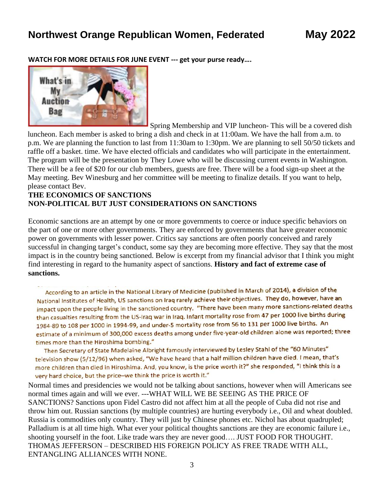# **Northwest Orange Republican Women, Federated May 2022**

**WATCH FOR MORE DETAILS FOR JUNE EVENT --- get your purse ready….** 



Spring Membership and VIP luncheon- This will be a covered dish luncheon. Each member is asked to bring a dish and check in at 11:00am. We have the hall from a.m. to p.m. We are planning the function to last from 11:30am to 1:30pm. We are planning to sell 50/50 tickets and raffle off a basket. time. We have elected officials and candidates who will participate in the entertainment. The program will be the presentation by They Lowe who will be discussing current events in Washington. There will be a fee of \$20 for our club members, guests are free. There will be a food sign-up sheet at the May meeting. Bev Winesburg and her committee will be meeting to finalize details. If you want to help, please contact Bev.

#### **THE ECONOMICS OF SANCTIONS NON-POLITICAL BUT JUST CONSIDERATIONS ON SANCTIONS**

Economic sanctions are an attempt by one or more governments to coerce or induce specific behaviors on the part of one or more other governments. They are enforced by governments that have greater economic power on governments with lesser power. Critics say sanctions are often poorly conceived and rarely successful in changing target's conduct, some say they are becoming more effective. They say that the most impact is in the country being sanctioned. Below is excerpt from my financial advisor that I think you might find interesting in regard to the humanity aspect of sanctions. **History and fact of extreme case of sanctions.**

According to an article in the National Library of Medicine (published in March of 2014), a division of the National Institutes of Health, US sanctions on Iraq rarely achieve their objectives. They do, however, have an impact upon the people living in the sanctioned country. "There have been many more sanctions-related deaths than casualties resulting from the US-Iraq war in Iraq. Infant mortality rose from 47 per 1000 live births during 1984-89 to 108 per 1000 in 1994-99, and under-5 mortality rose from 56 to 131 per 1000 live births. An estimate of a minimum of 300,000 excess deaths among under five-year-old children alone was reported; three times more than the Hiroshima bombing."

Then Secretary of State Madelaine Albright famously interviewed by Lesley Stahl of the "60 Minutes" television show (5/12/96) when asked, "We have heard that a half million children have died. I mean, that's more children than died in Hiroshima. And, you know, is the price worth it?" she responded, "I think this is a very hard choice, but the price-we think the price is worth it."

Normal times and presidencies we would not be talking about sanctions, however when will Americans see normal times again and will we ever. ---WHAT WILL WE BE SEEING AS THE PRICE OF SANCTIONS? Sanctions upon Fidel Castro did not affect him at all the people of Cuba did not rise and throw him out. Russian sanctions (by multiple countries) are hurting everybody i.e., Oil and wheat doubled. Russia is commodities only country. They will just by Chinese phones etc. Nichol has about quadrupled; Palladium is at all time high. What ever your political thoughts sanctions are they are economic failure i.e., shooting yourself in the foot. Like trade wars they are never good…. JUST FOOD FOR THOUGHT. THOMAS JEFFERSON – DESCRIBED HIS FOREIGN POLICY AS FREE TRADE WITH ALL, ENTANGLING ALLIANCES WITH NONE.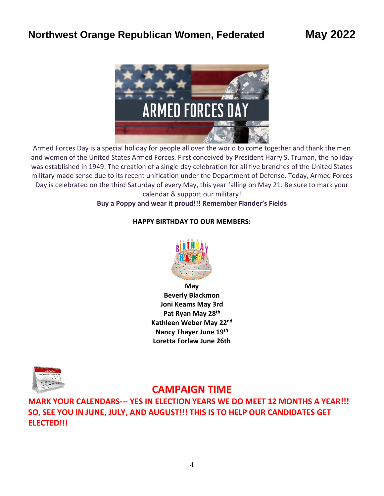

Armed Forces Day is a special holiday for people all over the world to come together and thank the men and women of the United States Armed Forces. First conceived by President Harry S. Truman, the holiday was established in 1949. The creation of a single day celebration for all five branches of the United States military made sense due to its recent unification under the Department of Defense. Today, Armed Forces Day is celebrated on the third Saturday of every May, this year falling on May 21. Be sure to mark your calendar & support our military!

#### **Buy a Poppy and wear it proud!!! Remember Flander's Fields**

#### **HAPPY BIRTHDAY TO OUR MEMBERS:**



**[May](https://freepngimg.com/png/37239-birthday-cake-transparent-background) Beverly Blackmon Joni Keams May 3rd Pat Ryan May 28th Kathleen Weber May 22nd Nancy Thayer June 19th Loretta For[law](https://creativecommons.org/licenses/by-nc/3.0/) June 26th**



## **CAMPAIGN TIME**

**MARK YOUR CALENDARS--- YES IN ELECTION YEARS WE DO MEET 12 MONTHS A YEAR!!! SO, SEE YOU IN JUNE, JULY, AND AUGUST!!! THIS IS TO HELP OUR CANDIDATES GET ELECTED!!!**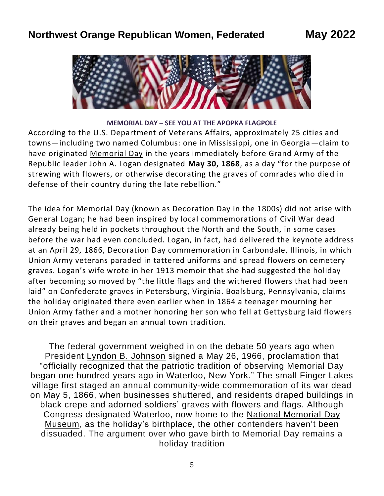

#### **MEMORIAL DAY – SEE YOU AT THE APOPKA FLAGPOLE**

According to the U.S. Department of Veterans Affairs, approximately 25 cities and towns—including two named Columbus: one in Mississippi, one in Georgia—claim to have originated [Memorial Day](https://www.history.com/topics/holidays/memorial-day-history) in the years immediately before Grand Army of the Republic leader John A. Logan designated **May 30, 1868**, as a day "for the purpose of strewing with flowers, or otherwise decorating the graves of comrades who died in defense of their country during the late rebellion."

The idea for Memorial Day (known as Decoration Day in the 1800s) did not arise with General Logan; he had been inspired by local commemorations of [Civil War](https://www.history.com/topics/american-civil-war/american-civil-war-history) dead already being held in pockets throughout the North and the South, in some cases before the war had even concluded. Logan, in fact, had delivered the keynote address at an April 29, 1866, Decoration Day commemoration in Carbondale, Illinois, in which Union Army veterans paraded in tattered uniforms and spread flowers on cemetery graves. Logan's wife wrote in her 1913 memoir that she had suggested the holiday after becoming so moved by "the little flags and the withered flowers that had been laid" on Confederate graves in Petersburg, Virginia. Boalsburg, Pennsylvania, claims the holiday originated there even earlier when in 1864 a teenager mourning her Union Army father and a mother honoring her son who fell at Gettysburg laid flowers on their graves and began an annual town tradition.

The federal government weighed in on the debate 50 years ago when President Lyndon B. [Johnson](https://www.history.com/topics/us-presidents/lyndon-b-johnson) signed a May 26, 1966, proclamation that "officially recognized that the patriotic tradition of observing Memorial Day began one hundred years ago in Waterloo, New York." The small Finger Lakes village first staged an annual community-wide commemoration of its war dead on May 5, 1866, when businesses shuttered, and residents draped buildings in black crepe and adorned soldiers' graves with flowers and flags. Although Congress designated Waterloo, now home to the National [Memorial](https://wlhs-ny.com/national-memorial-day-museum/) Day [Museum,](https://wlhs-ny.com/national-memorial-day-museum/) as the holiday's birthplace, the other contenders haven't been dissuaded. The argument over who gave birth to Memorial Day remains a holiday tradition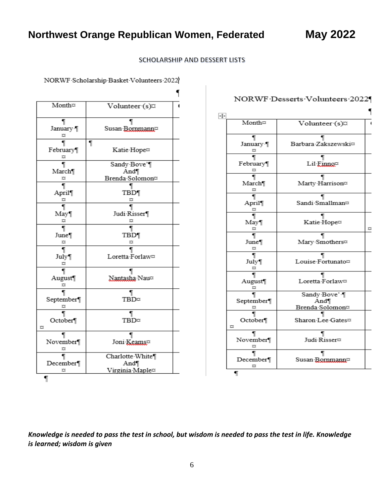SCHOLARSHIP AND DESSERT LISTS

| Month¤             | Volunteer (s)a                                           |
|--------------------|----------------------------------------------------------|
| January ¶<br>∞     | Susan Bornmann <sup>2</sup>                              |
| 1<br>February<br>× | 1<br>Katie-Hope¤                                         |
| March<br>×         | Sandy Bove'<br>And<br>Brenda-Solomon¤                    |
| April<br>×         | TBD<br>×                                                 |
| 1<br>May<br>∝      | Judi Risser <sup>[</sup>                                 |
| June<br>×          | TBD<br>×                                                 |
| 1<br>July<br>×     | Loretta Forlaw <sup>o</sup>                              |
| 1<br>August<br>ొ   | Nantasha Nau¤                                            |
| September¶<br>×    | TBD                                                      |
| October<br>×       | 1<br>TBD¤                                                |
| November¶<br>¤     | Joni Keams                                               |
| December¶<br>×     | Charlotte White <sup>[</sup> ]<br>And<br>Virginia-Maple¤ |
| ¶                  |                                                          |

NORWF Scholarship Basket Volunteers 2022

|   |                      | NORWF Desserts Volunteers 2022          |   |
|---|----------------------|-----------------------------------------|---|
| + |                      |                                         |   |
|   | Month¤               | Volunteer (s)a                          |   |
|   | ٦.<br>January ¶<br>× | Barbara-Zakszewski¤                     |   |
|   | February¶<br>×       | Lil Einno <sup>o</sup>                  |   |
|   | March¶<br>×          | Marty Harrison <sup>o</sup>             |   |
|   | ¶<br>April<br>×      | Sandi-Smallman¤                         |   |
|   | 1<br>May<br>∞        | Katie-Hope¤                             | × |
|   | June¶<br>×           | Mary Smothers¤                          |   |
|   | 1<br>July¶<br>∞      | Louise-Fortunato¤                       |   |
|   | August¶<br>×         | Loretta Forlaw <sup>o</sup>             |   |
|   | September¶<br>×      | Sandy Bove' -<br>And<br>Brenda-Solomon¤ |   |
|   | October¶<br>×        | Sharon-Lee-Gates¤                       |   |
|   | November<br>×        | Judi Risser <sup>o</sup>                |   |
|   | December¶<br>×       | Susan <u>Bommann</u> ¤                  |   |
|   | எ                    |                                         |   |

Knowledge is needed to pass the test in school, but wisdom is needed to pass the test in life. Knowledge *is learned; wisdom is given*